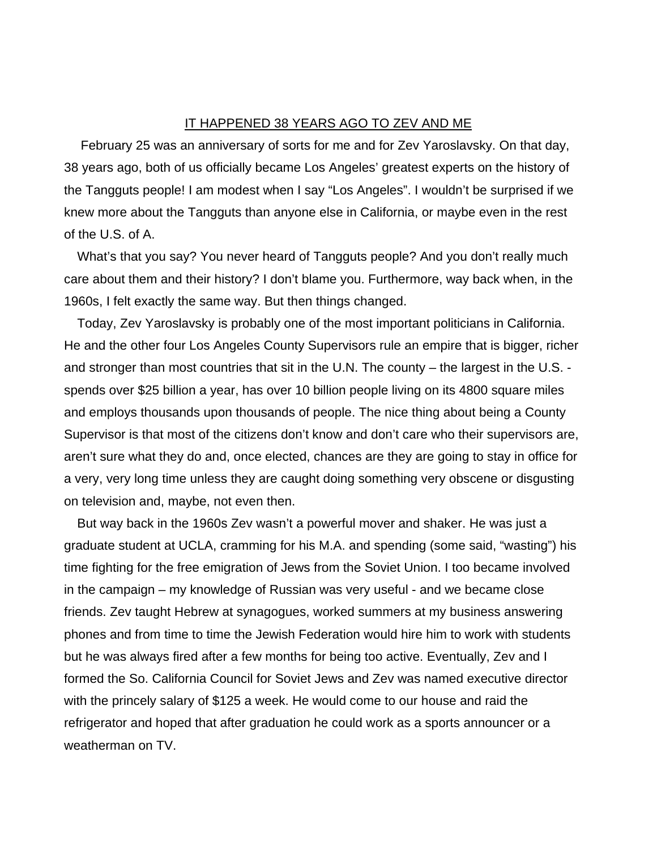## IT HAPPENED 38 YEARS AGO TO ZEV AND ME

 February 25 was an anniversary of sorts for me and for Zev Yaroslavsky. On that day, 38 years ago, both of us officially became Los Angeles' greatest experts on the history of the Tangguts people! I am modest when I say "Los Angeles". I wouldn't be surprised if we knew more about the Tangguts than anyone else in California, or maybe even in the rest of the U.S. of A.

What's that you say? You never heard of Tangguts people? And you don't really much care about them and their history? I don't blame you. Furthermore, way back when, in the 1960s, I felt exactly the same way. But then things changed.

Today, Zev Yaroslavsky is probably one of the most important politicians in California. He and the other four Los Angeles County Supervisors rule an empire that is bigger, richer and stronger than most countries that sit in the U.N. The county – the largest in the U.S. spends over \$25 billion a year, has over 10 billion people living on its 4800 square miles and employs thousands upon thousands of people. The nice thing about being a County Supervisor is that most of the citizens don't know and don't care who their supervisors are, aren't sure what they do and, once elected, chances are they are going to stay in office for a very, very long time unless they are caught doing something very obscene or disgusting on television and, maybe, not even then.

But way back in the 1960s Zev wasn't a powerful mover and shaker. He was just a graduate student at UCLA, cramming for his M.A. and spending (some said, "wasting") his time fighting for the free emigration of Jews from the Soviet Union. I too became involved in the campaign – my knowledge of Russian was very useful - and we became close friends. Zev taught Hebrew at synagogues, worked summers at my business answering phones and from time to time the Jewish Federation would hire him to work with students but he was always fired after a few months for being too active. Eventually, Zev and I formed the So. California Council for Soviet Jews and Zev was named executive director with the princely salary of \$125 a week. He would come to our house and raid the refrigerator and hoped that after graduation he could work as a sports announcer or a weatherman on TV.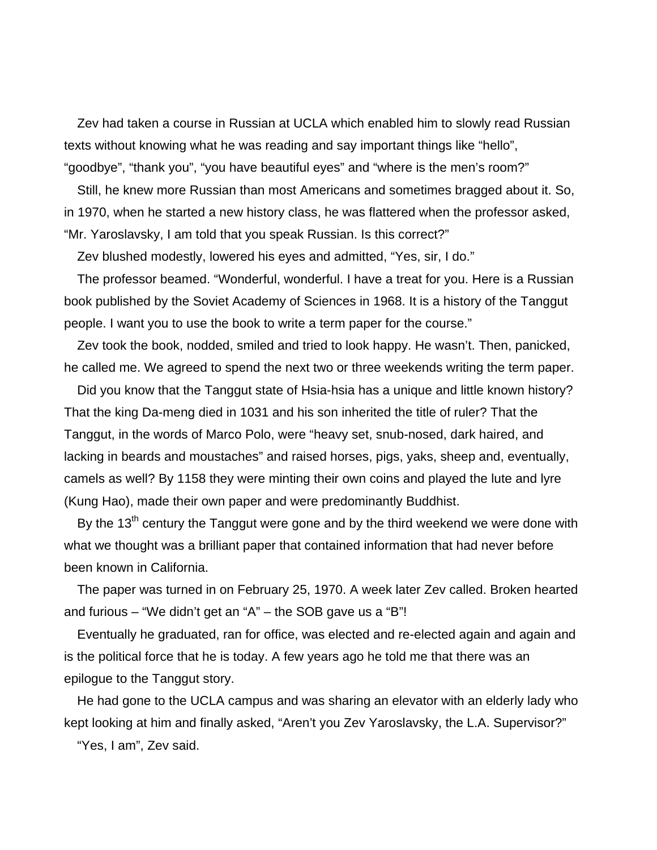Zev had taken a course in Russian at UCLA which enabled him to slowly read Russian texts without knowing what he was reading and say important things like "hello", "goodbye", "thank you", "you have beautiful eyes" and "where is the men's room?"

Still, he knew more Russian than most Americans and sometimes bragged about it. So, in 1970, when he started a new history class, he was flattered when the professor asked, "Mr. Yaroslavsky, I am told that you speak Russian. Is this correct?"

Zev blushed modestly, lowered his eyes and admitted, "Yes, sir, I do."

The professor beamed. "Wonderful, wonderful. I have a treat for you. Here is a Russian book published by the Soviet Academy of Sciences in 1968. It is a history of the Tanggut people. I want you to use the book to write a term paper for the course."

Zev took the book, nodded, smiled and tried to look happy. He wasn't. Then, panicked, he called me. We agreed to spend the next two or three weekends writing the term paper.

Did you know that the Tanggut state of Hsia-hsia has a unique and little known history? That the king Da-meng died in 1031 and his son inherited the title of ruler? That the Tanggut, in the words of Marco Polo, were "heavy set, snub-nosed, dark haired, and lacking in beards and moustaches" and raised horses, pigs, yaks, sheep and, eventually, camels as well? By 1158 they were minting their own coins and played the lute and lyre (Kung Hao), made their own paper and were predominantly Buddhist.

By the  $13<sup>th</sup>$  century the Tanggut were gone and by the third weekend we were done with what we thought was a brilliant paper that contained information that had never before been known in California.

The paper was turned in on February 25, 1970. A week later Zev called. Broken hearted and furious – "We didn't get an "A" – the SOB gave us a "B"!

Eventually he graduated, ran for office, was elected and re-elected again and again and is the political force that he is today. A few years ago he told me that there was an epilogue to the Tanggut story.

He had gone to the UCLA campus and was sharing an elevator with an elderly lady who kept looking at him and finally asked, "Aren't you Zev Yaroslavsky, the L.A. Supervisor?"

"Yes, I am", Zev said.